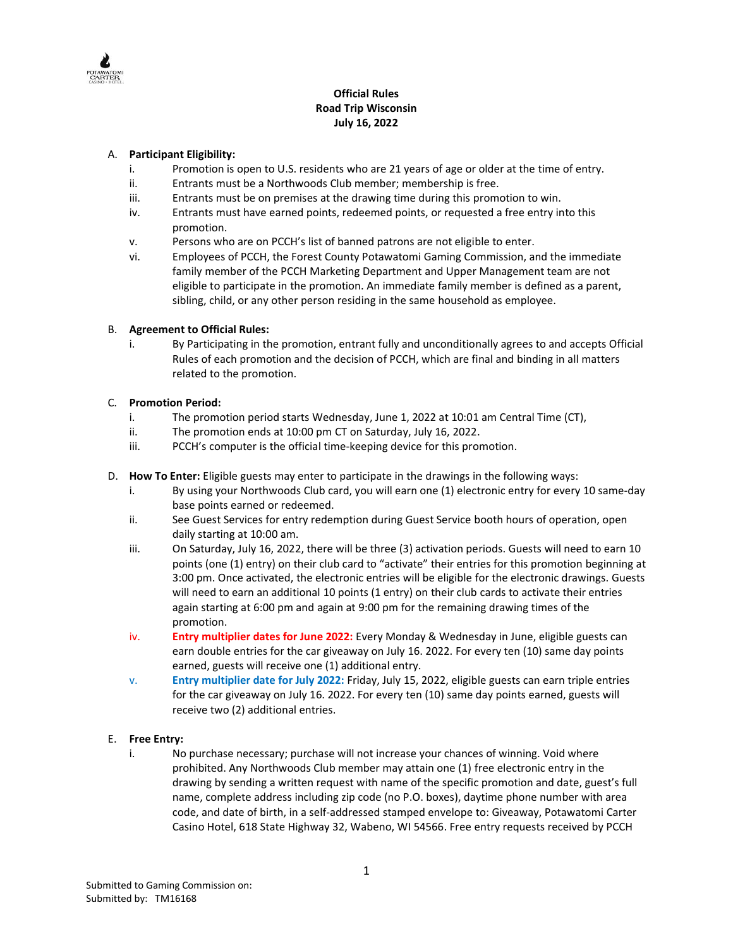

# **Official Rules Road Trip Wisconsin July 16, 2022**

#### A. **Participant Eligibility:**

- i. Promotion is open to U.S. residents who are 21 years of age or older at the time of entry.
- ii. Entrants must be a Northwoods Club member; membership is free.
- iii. Entrants must be on premises at the drawing time during this promotion to win.
- iv. Entrants must have earned points, redeemed points, or requested a free entry into this promotion.
- v. Persons who are on PCCH's list of banned patrons are not eligible to enter.
- vi. Employees of PCCH, the Forest County Potawatomi Gaming Commission, and the immediate family member of the PCCH Marketing Department and Upper Management team are not eligible to participate in the promotion. An immediate family member is defined as a parent, sibling, child, or any other person residing in the same household as employee.

#### B. **Agreement to Official Rules:**

i. By Participating in the promotion, entrant fully and unconditionally agrees to and accepts Official Rules of each promotion and the decision of PCCH, which are final and binding in all matters related to the promotion.

#### C. **Promotion Period:**

- i. The promotion period starts Wednesday, June 1, 2022 at 10:01 am Central Time (CT),
- ii. The promotion ends at 10:00 pm CT on Saturday, July 16, 2022.
- iii. PCCH's computer is the official time-keeping device for this promotion.
- D. **How To Enter:** Eligible guests may enter to participate in the drawings in the following ways:
	- i. By using your Northwoods Club card, you will earn one (1) electronic entry for every 10 same-day base points earned or redeemed.
	- ii. See Guest Services for entry redemption during Guest Service booth hours of operation, open daily starting at 10:00 am.
	- iii. On Saturday, July 16, 2022, there will be three (3) activation periods. Guests will need to earn 10 points (one (1) entry) on their club card to "activate" their entries for this promotion beginning at 3:00 pm. Once activated, the electronic entries will be eligible for the electronic drawings. Guests will need to earn an additional 10 points (1 entry) on their club cards to activate their entries again starting at 6:00 pm and again at 9:00 pm for the remaining drawing times of the promotion.
	- iv. **Entry multiplier dates for June 2022:** Every Monday & Wednesday in June, eligible guests can earn double entries for the car giveaway on July 16. 2022. For every ten (10) same day points earned, guests will receive one (1) additional entry.
	- v. **Entry multiplier date for July 2022:** Friday, July 15, 2022, eligible guests can earn triple entries for the car giveaway on July 16. 2022. For every ten (10) same day points earned, guests will receive two (2) additional entries.

#### E. **Free Entry:**

i. No purchase necessary; purchase will not increase your chances of winning. Void where prohibited. Any Northwoods Club member may attain one (1) free electronic entry in the drawing by sending a written request with name of the specific promotion and date, guest's full name, complete address including zip code (no P.O. boxes), daytime phone number with area code, and date of birth, in a self-addressed stamped envelope to: Giveaway, Potawatomi Carter Casino Hotel, 618 State Highway 32, Wabeno, WI 54566. Free entry requests received by PCCH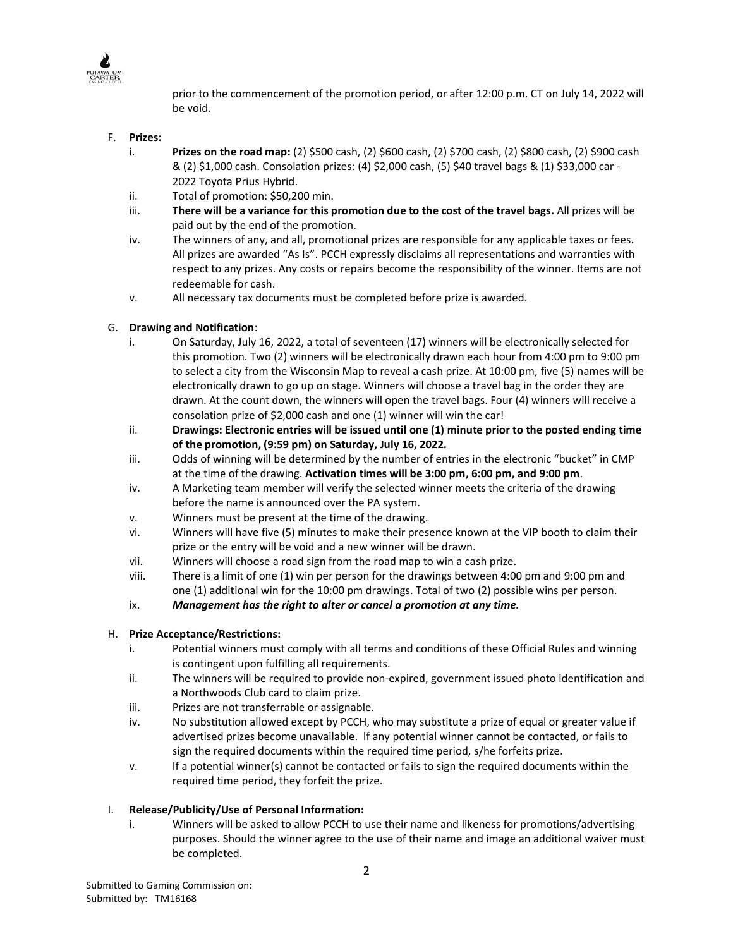

prior to the commencement of the promotion period, or after 12:00 p.m. CT on July 14, 2022 will be void.

## F. **Prizes:**

- i. **Prizes on the road map:** (2) \$500 cash, (2) \$600 cash, (2) \$700 cash, (2) \$800 cash, (2) \$900 cash & (2) \$1,000 cash. Consolation prizes: (4) \$2,000 cash, (5) \$40 travel bags & (1) \$33,000 car - 2022 Toyota Prius Hybrid.
- ii. Total of promotion: \$50,200 min.
- iii. **There will be a variance for this promotion due to the cost of the travel bags.** All prizes will be paid out by the end of the promotion.
- iv. The winners of any, and all, promotional prizes are responsible for any applicable taxes or fees. All prizes are awarded "As Is". PCCH expressly disclaims all representations and warranties with respect to any prizes. Any costs or repairs become the responsibility of the winner. Items are not redeemable for cash.
- v. All necessary tax documents must be completed before prize is awarded.

# G. **Drawing and Notification**:

- i. On Saturday, July 16, 2022, a total of seventeen (17) winners will be electronically selected for this promotion. Two (2) winners will be electronically drawn each hour from 4:00 pm to 9:00 pm to select a city from the Wisconsin Map to reveal a cash prize. At 10:00 pm, five (5) names will be electronically drawn to go up on stage. Winners will choose a travel bag in the order they are drawn. At the count down, the winners will open the travel bags. Four (4) winners will receive a consolation prize of \$2,000 cash and one (1) winner will win the car!
- ii. **Drawings: Electronic entries will be issued until one (1) minute prior to the posted ending time of the promotion, (9:59 pm) on Saturday, July 16, 2022.**
- iii. Odds of winning will be determined by the number of entries in the electronic "bucket" in CMP at the time of the drawing. **Activation times will be 3:00 pm, 6:00 pm, and 9:00 pm**.
- iv. A Marketing team member will verify the selected winner meets the criteria of the drawing before the name is announced over the PA system.
- v. Winners must be present at the time of the drawing.
- vi. Winners will have five (5) minutes to make their presence known at the VIP booth to claim their prize or the entry will be void and a new winner will be drawn.
- vii. Winners will choose a road sign from the road map to win a cash prize.
- viii. There is a limit of one (1) win per person for the drawings between 4:00 pm and 9:00 pm and one (1) additional win for the 10:00 pm drawings. Total of two (2) possible wins per person.
- ix. *Management has the right to alter or cancel a promotion at any time.*

## H. **Prize Acceptance/Restrictions:**

- i. Potential winners must comply with all terms and conditions of these Official Rules and winning is contingent upon fulfilling all requirements.
- ii. The winners will be required to provide non-expired, government issued photo identification and a Northwoods Club card to claim prize.
- iii. Prizes are not transferrable or assignable.
- iv. No substitution allowed except by PCCH, who may substitute a prize of equal or greater value if advertised prizes become unavailable. If any potential winner cannot be contacted, or fails to sign the required documents within the required time period, s/he forfeits prize.
- v. If a potential winner(s) cannot be contacted or fails to sign the required documents within the required time period, they forfeit the prize.

## I. **Release/Publicity/Use of Personal Information:**

i. Winners will be asked to allow PCCH to use their name and likeness for promotions/advertising purposes. Should the winner agree to the use of their name and image an additional waiver must be completed.